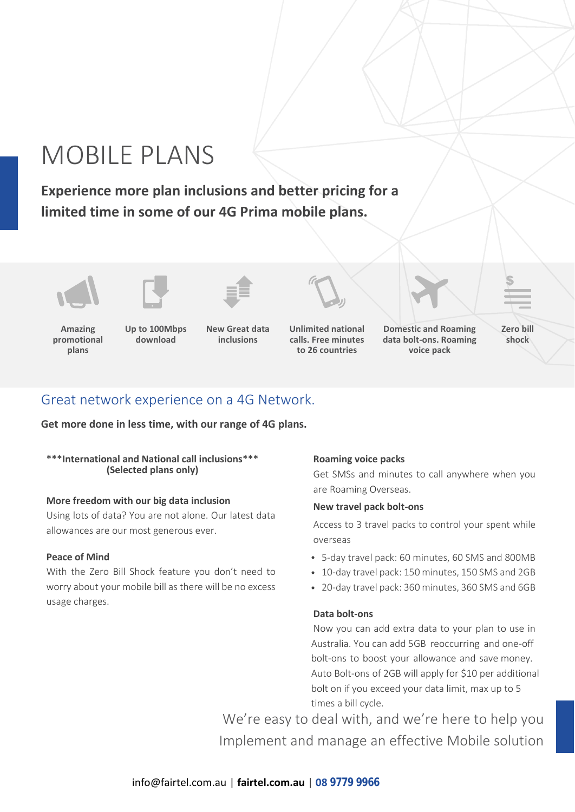# MOBILE PLANS

**Experience more plan inclusions and better pricing for a limited time in some of our 4G Prima mobile plans.**





**Amazing promotional plans**

**Up to 100Mbps download**

**New Great data inclusions**



**Unlimited national calls. Free minutes to 26 countries**



**voice pack**

**Zero bill shock**

\$

## Great network experience on a 4G Network.

**Get more done in less time, with our range of 4G plans.**

## **\*\*\*International and National call inclusions\*\*\* (Selected plans only)**

## **More freedom with our big data inclusion**

Using lots of data? You are not alone. Our latest data allowances are our most generous ever.

## **Peace of Mind**

With the Zero Bill Shock feature you don't need to worry about your mobile bill as there will be no excess usage charges.

## **Roaming voice packs**

Get SMSs and minutes to call anywhere when you are Roaming Overseas.

## **New travel pack bolt-ons**

Access to 3 travel packs to control your spent while overseas

- 5-day travel pack: 60 minutes, 60 SMS and 800MB
- 10-day travel pack: 150 minutes, 150 SMS and 2GB
- 20-day travel pack: 360 minutes, 360 SMS and 6GB

## **Data bolt-ons**

Now you can add extra data to your plan to use in Australia. You can add 5GB reoccurring and one-off bolt-ons to boost your allowance and save money. Auto Bolt-ons of 2GB will apply for \$10 per additional bolt on if you exceed your data limit, max up to 5 times a bill cycle.

We're easy to deal with, and we're here to help you Implement and manage an effective Mobile solution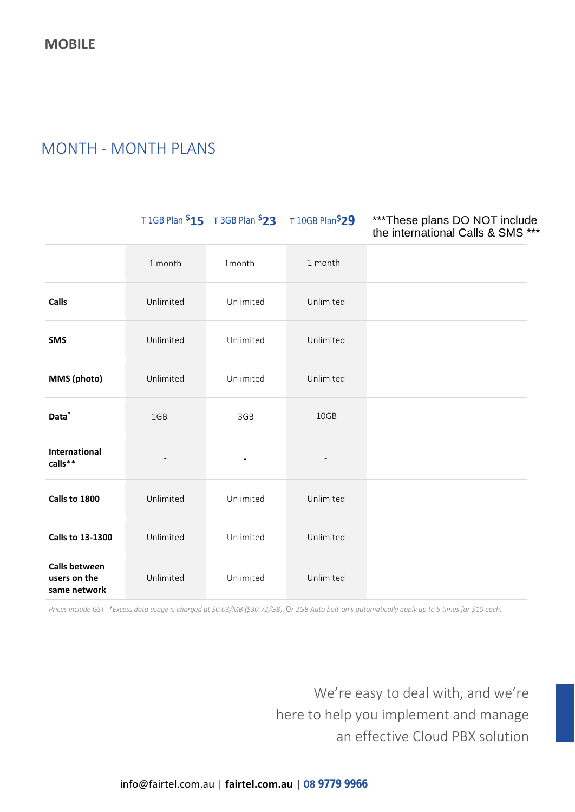# MONTH - MONTH PLANS

|                                                      |           | T 1GB Plan \$15 T 3GB Plan \$23 T 10GB Plan\$29 |           | ***These plans DO NOT include<br>the international Calls & SMS *** |
|------------------------------------------------------|-----------|-------------------------------------------------|-----------|--------------------------------------------------------------------|
|                                                      | 1 month   | 1month                                          | 1 month   |                                                                    |
| Calls                                                | Unlimited | Unlimited                                       | Unlimited |                                                                    |
| <b>SMS</b>                                           | Unlimited | Unlimited                                       | Unlimited |                                                                    |
| MMS (photo)                                          | Unlimited | Unlimited                                       | Unlimited |                                                                    |
| Data <sup>*</sup>                                    | 1GB       | 3GB                                             | 10GB      |                                                                    |
| International<br>calls**                             |           | $\blacksquare$                                  |           |                                                                    |
| Calls to 1800                                        | Unlimited | Unlimited                                       | Unlimited |                                                                    |
| <b>Calls to 13-1300</b>                              | Unlimited | Unlimited                                       | Unlimited |                                                                    |
| <b>Calls between</b><br>users on the<br>same network | Unlimited | Unlimited                                       | Unlimited |                                                                    |

*Prices include GST -\*Excess data usage is charged at \$0.03/MB (\$30.72/GB). Or 2GB Auto bolt-on's automatically apply up to 5 times for \$10 each.* 

We're easy to deal with, and we're here to help you implement and manage an effective Cloud PBX solution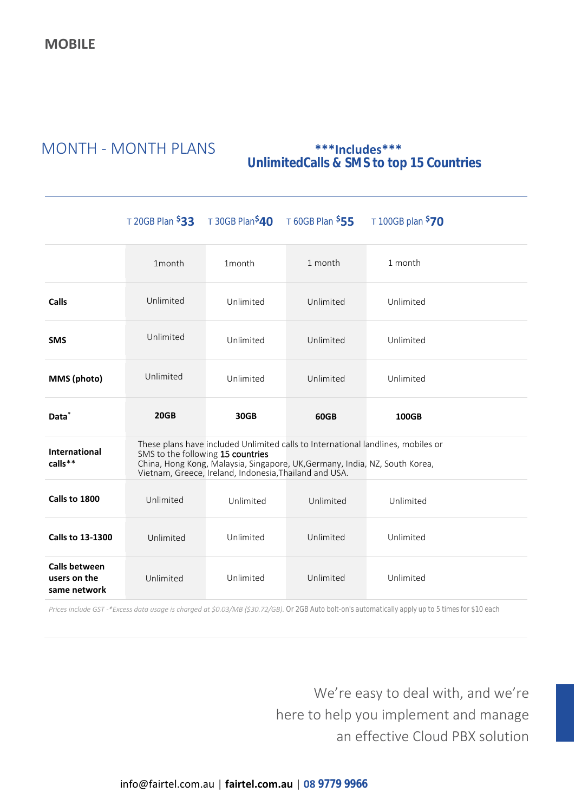# MONTH - MONTH PLANS **\*\*\*Includes\*\*\***

# **UnlimitedCalls & SMS to top 15 Countries**

|                                                      |                                                                                                                                                                                                                                                                | T 20GB Plan $$33$ T 30GB Plan $$40$ T 60GB Plan $$55$ |           | T 100GB plan <sup>\$</sup> 70 |  |  |
|------------------------------------------------------|----------------------------------------------------------------------------------------------------------------------------------------------------------------------------------------------------------------------------------------------------------------|-------------------------------------------------------|-----------|-------------------------------|--|--|
|                                                      | 1month                                                                                                                                                                                                                                                         | 1month                                                | 1 month   | 1 month                       |  |  |
| Calls                                                | Unlimited                                                                                                                                                                                                                                                      | Unlimited                                             | Unlimited | Unlimited                     |  |  |
| <b>SMS</b>                                           | Unlimited                                                                                                                                                                                                                                                      | Unlimited                                             | Unlimited | Unlimited                     |  |  |
| MMS (photo)                                          | Unlimited                                                                                                                                                                                                                                                      | Unlimited                                             | Unlimited | Unlimited                     |  |  |
| Data <sup>*</sup>                                    | 20GB                                                                                                                                                                                                                                                           | 30GB                                                  | 60GB      | <b>100GB</b>                  |  |  |
| <b>International</b><br>calls**                      | These plans have included Unlimited calls to International landlines, mobiles or<br>SMS to the following 15 countries<br>China, Hong Kong, Malaysia, Singapore, UK, Germany, India, NZ, South Korea,<br>Vietnam, Greece, Ireland, Indonesia, Thailand and USA. |                                                       |           |                               |  |  |
| Calls to 1800                                        | Unlimited                                                                                                                                                                                                                                                      | Unlimited                                             | Unlimited | Unlimited                     |  |  |
| <b>Calls to 13-1300</b>                              | Unlimited                                                                                                                                                                                                                                                      | Unlimited                                             | Unlimited | Unlimited                     |  |  |
| <b>Calls between</b><br>users on the<br>same network | Unlimited                                                                                                                                                                                                                                                      | Unlimited                                             | Unlimited | Unlimited                     |  |  |

*Prices include GST -\*Excess data usage is charged at \$0.03/MB (\$30.72/GB). Or 2GB Auto bolt-on's automatically apply up to 5 times for \$10 each*

We're easy to deal with, and we're here to help you implement and manage an effective Cloud PBX solution